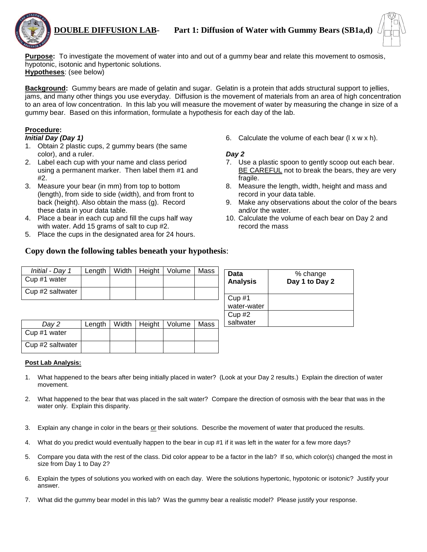

**Purpose:** To investigate the movement of water into and out of a gummy bear and relate this movement to osmosis, hypotonic, isotonic and hypertonic solutions.

**Hypotheses**: (see below)

**Background:** Gummy bears are made of gelatin and sugar. Gelatin is a protein that adds structural support to jellies, jams, and many other things you use everyday. Diffusion is the movement of materials from an area of high concentration to an area of low concentration. In this lab you will measure the movement of water by measuring the change in size of a gummy bear. Based on this information, formulate a hypothesis for each day of the lab.

#### **Procedure:**

#### *Initial Day (Day 1)*

- 1. Obtain 2 plastic cups, 2 gummy bears (the same color), and a ruler.
- 2. Label each cup with your name and class period using a permanent marker. Then label them #1 and #2.
- 3. Measure your bear (in mm) from top to bottom (length), from side to side (width), and from front to back (height). Also obtain the mass (g). Record these data in your data table.
- 4. Place a bear in each cup and fill the cups half way with water. Add 15 grams of salt to cup #2.
- 5. Place the cups in the designated area for 24 hours.

6. Calculate the volume of each bear  $(1 \times w \times h)$ .

#### *Day 2*

- 7. Use a plastic spoon to gently scoop out each bear. BE CAREFUL not to break the bears, they are very fragile.
- 8. Measure the length, width, height and mass and record in your data table.
- 9. Make any observations about the color of the bears and/or the water.
- 10. Calculate the volume of each bear on Day 2 and record the mass

## **Copy down the following tables beneath your hypothesis**:

| Initial - Day 1  |  | Length   Width   Height   Volume   Mass |  |
|------------------|--|-----------------------------------------|--|
| Cup #1 water     |  |                                         |  |
| Cup #2 saltwater |  |                                         |  |

| Day 2            | Length |  | Width   Height   Volume   Mass |  |
|------------------|--------|--|--------------------------------|--|
| Cup #1 water     |        |  |                                |  |
| Cup #2 saltwater |        |  |                                |  |

| Data<br><b>Analysis</b> | % change<br>Day 1 to Day 2 |
|-------------------------|----------------------------|
| Cup #1<br>water-water   |                            |
| Cup #2<br>saltwater     |                            |
|                         |                            |

#### **Post Lab Analysis:**

- 1. What happened to the bears after being initially placed in water? (Look at your Day 2 results.) Explain the direction of water movement.
- 2. What happened to the bear that was placed in the salt water? Compare the direction of osmosis with the bear that was in the water only. Explain this disparity.
- 3. Explain any change in color in the bears or their solutions. Describe the movement of water that produced the results.
- 4. What do you predict would eventually happen to the bear in cup #1 if it was left in the water for a few more days?
- 5. Compare you data with the rest of the class. Did color appear to be a factor in the lab? If so, which color(s) changed the most in size from Day 1 to Day 2?
- 6. Explain the types of solutions you worked with on each day. Were the solutions hypertonic, hypotonic or isotonic? Justify your answer.
- 7. What did the gummy bear model in this lab? Was the gummy bear a realistic model? Please justify your response.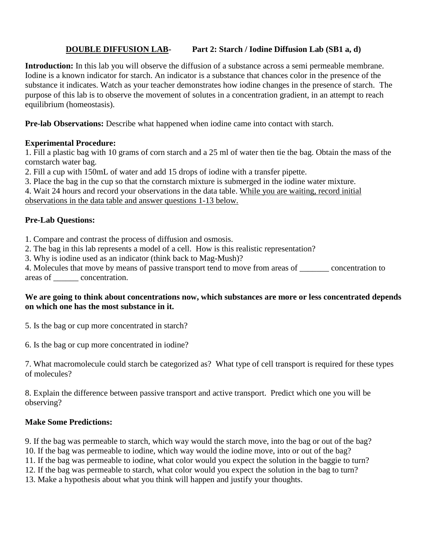# **DOUBLE DIFFUSION LAB- Part 2: Starch / Iodine Diffusion Lab (SB1 a, d)**

**Introduction:** In this lab you will observe the diffusion of a substance across a semi permeable membrane. Iodine is a known indicator for starch. An indicator is a substance that chances color in the presence of the substance it indicates. Watch as your teacher demonstrates how iodine changes in the presence of starch. The purpose of this lab is to observe the movement of solutes in a concentration gradient, in an attempt to reach equilibrium (homeostasis).

**Pre-lab Observations:** Describe what happened when iodine came into contact with starch.

## **Experimental Procedure:**

1. Fill a plastic bag with 10 grams of corn starch and a 25 ml of water then tie the bag. Obtain the mass of the cornstarch water bag.

2. Fill a cup with 150mL of water and add 15 drops of iodine with a transfer pipette.

3. Place the bag in the cup so that the cornstarch mixture is submerged in the iodine water mixture.

4. Wait 24 hours and record your observations in the data table. While you are waiting, record initial observations in the data table and answer questions 1-13 below.

## **Pre-Lab Questions:**

1. Compare and contrast the process of diffusion and osmosis.

2. The bag in this lab represents a model of a cell. How is this realistic representation?

3. Why is iodine used as an indicator (think back to Mag-Mush)?

4. Molecules that move by means of passive transport tend to move from areas of \_\_\_\_\_\_\_ concentration to areas of \_\_\_\_\_\_ concentration.

## **We are going to think about concentrations now, which substances are more or less concentrated depends on which one has the most substance in it.**

5. Is the bag or cup more concentrated in starch?

6. Is the bag or cup more concentrated in iodine?

7. What macromolecule could starch be categorized as? What type of cell transport is required for these types of molecules?

8. Explain the difference between passive transport and active transport. Predict which one you will be observing?

# **Make Some Predictions:**

9. If the bag was permeable to starch, which way would the starch move, into the bag or out of the bag? 10. If the bag was permeable to iodine, which way would the iodine move, into or out of the bag? 11. If the bag was permeable to iodine, what color would you expect the solution in the baggie to turn? 12. If the bag was permeable to starch, what color would you expect the solution in the bag to turn?

13. Make a hypothesis about what you think will happen and justify your thoughts.